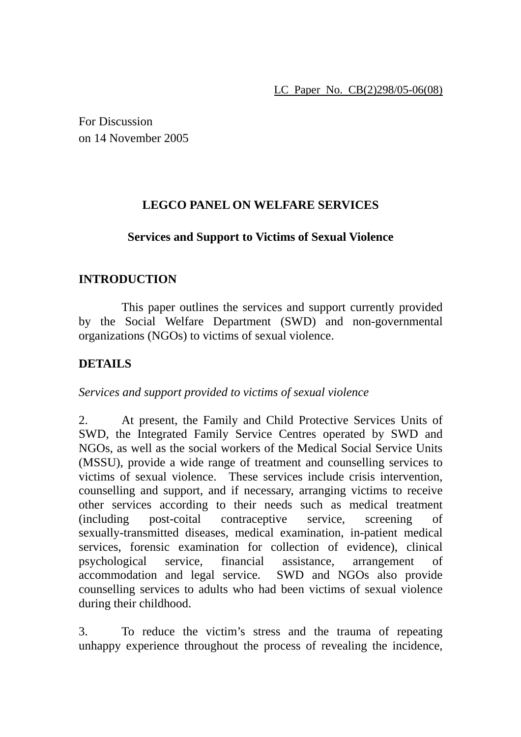For Discussion on 14 November 2005

# **LEGCO PANEL ON WELFARE SERVICES**

# **Services and Support to Victims of Sexual Violence**

# **INTRODUCTION**

 This paper outlines the services and support currently provided by the Social Welfare Department (SWD) and non-governmental organizations (NGOs) to victims of sexual violence.

# **DETAILS**

#### *Services and support provided to victims of sexual violence*

2. At present, the Family and Child Protective Services Units of SWD, the Integrated Family Service Centres operated by SWD and NGOs, as well as the social workers of the Medical Social Service Units (MSSU), provide a wide range of treatment and counselling services to victims of sexual violence. These services include crisis intervention, counselling and support, and if necessary, arranging victims to receive other services according to their needs such as medical treatment (including post-coital contraceptive service, screening of sexually-transmitted diseases, medical examination, in-patient medical services, forensic examination for collection of evidence), clinical psychological service, financial assistance, arrangement of accommodation and legal service. SWD and NGOs also provide counselling services to adults who had been victims of sexual violence during their childhood.

3. To reduce the victim's stress and the trauma of repeating unhappy experience throughout the process of revealing the incidence,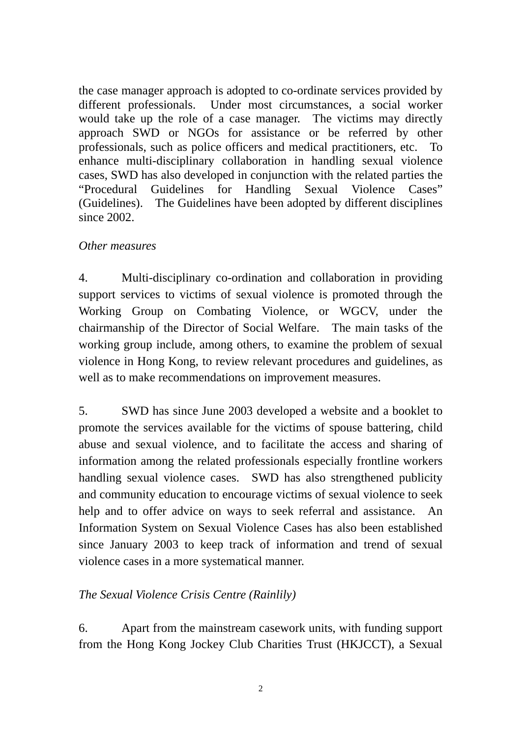the case manager approach is adopted to co-ordinate services provided by different professionals. Under most circumstances, a social worker would take up the role of a case manager. The victims may directly approach SWD or NGOs for assistance or be referred by other professionals, such as police officers and medical practitioners, etc. To enhance multi-disciplinary collaboration in handling sexual violence cases, SWD has also developed in conjunction with the related parties the "Procedural Guidelines for Handling Sexual Violence Cases" (Guidelines). The Guidelines have been adopted by different disciplines since 2002.

# *Other measures*

4. Multi-disciplinary co-ordination and collaboration in providing support services to victims of sexual violence is promoted through the Working Group on Combating Violence, or WGCV, under the chairmanship of the Director of Social Welfare. The main tasks of the working group include, among others, to examine the problem of sexual violence in Hong Kong, to review relevant procedures and guidelines, as well as to make recommendations on improvement measures.

5. SWD has since June 2003 developed a website and a booklet to promote the services available for the victims of spouse battering, child abuse and sexual violence, and to facilitate the access and sharing of information among the related professionals especially frontline workers handling sexual violence cases. SWD has also strengthened publicity and community education to encourage victims of sexual violence to seek help and to offer advice on ways to seek referral and assistance. An Information System on Sexual Violence Cases has also been established since January 2003 to keep track of information and trend of sexual violence cases in a more systematical manner.

# *The Sexual Violence Crisis Centre (Rainlily)*

6. Apart from the mainstream casework units, with funding support from the Hong Kong Jockey Club Charities Trust (HKJCCT), a Sexual